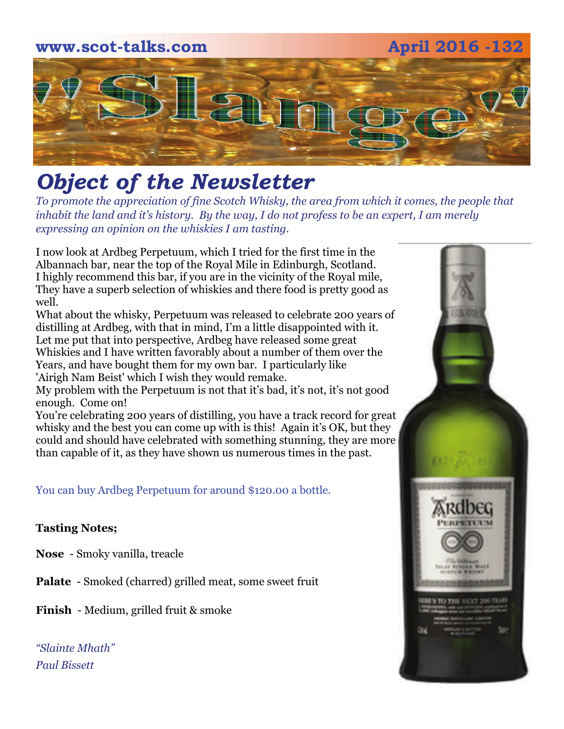# **www.scot-talks.com April 2016 -132** [2]

## *Object of the Newsletter*

*To promote the appreciation of fine Scotch Whisky, the area from which it comes, the people that inhabit the land and it's history. By the way, I do not profess to be an expert, I am merely expressing an opinion on the whiskies I am tasting.* 

I now look at Ardbeg Perpetuum, which I tried for the first time in the Albannach bar, near the top of the Royal Mile in Edinburgh, Scotland. I highly recommend this bar, if you are in the vicinity of the Royal mile, They have a superb selection of whiskies and there food is pretty good as well.

What about the whisky, Perpetuum was released to celebrate 200 years of distilling at Ardbeg, with that in mind, I'm a little disappointed with it. Let me put that into perspective, Ardbeg have released some great Whiskies and I have written favorably about a number of them over the Years, and have bought them for my own bar. I particularly like 'Airigh Nam Beist' which I wish they would remake.

My problem with the Perpetuum is not that it's bad, it's not, it's not good enough. Come on!

You're celebrating 200 years of distilling, you have a track record for great whisky and the best you can come up with is this! Again it's OK, but they could and should have celebrated with something stunning, they are more than capable of it, as they have shown us numerous times in the past.

You can buy Ardbeg Perpetuum for around \$120.00 a bottle.

## **Tasting Notes;**

**Nose** - Smoky vanilla, treacle

**Palate** - Smoked (charred) grilled meat, some sweet fruit

**Finish** - Medium, grilled fruit & smoke

*"Slainte Mhath" Paul Bissett*

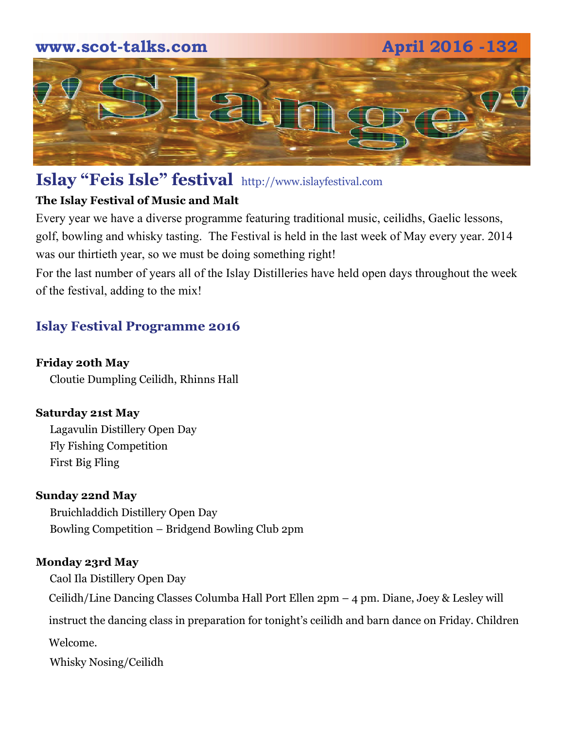## **www.scot-talks.com April 2016 -132**



## **Islay "Feis Isle" festival** http://www.islayfestival.com

## **The Islay Festival of Music and Malt**

Every year we have a diverse programme featuring traditional music, ceilidhs, Gaelic lessons, golf, bowling and whisky tasting. The Festival is held in the last week of May every year. 2014 was our thirtieth year, so we must be doing something right!

For the last number of years all of the Islay Distilleries have held open days throughout the week of the festival, adding to the mix!

## **Islay Festival Programme 2016**

### **Friday 20th May**

Cloutie Dumpling Ceilidh, Rhinns Hall

## **Saturday 21st May**

Lagavulin Distillery Open Day Fly Fishing Competition First Big Fling

## **Sunday 22nd May**

Bruichladdich Distillery Open Day Bowling Competition – Bridgend Bowling Club 2pm

#### **Monday 23rd May**

Caol Ila Distillery Open Day

Ceilidh/Line Dancing Classes Columba Hall Port Ellen 2pm – 4 pm. Diane, Joey & Lesley will

instruct the dancing class in preparation for tonight's ceilidh and barn dance on Friday. Children

Welcome.

Whisky Nosing/Ceilidh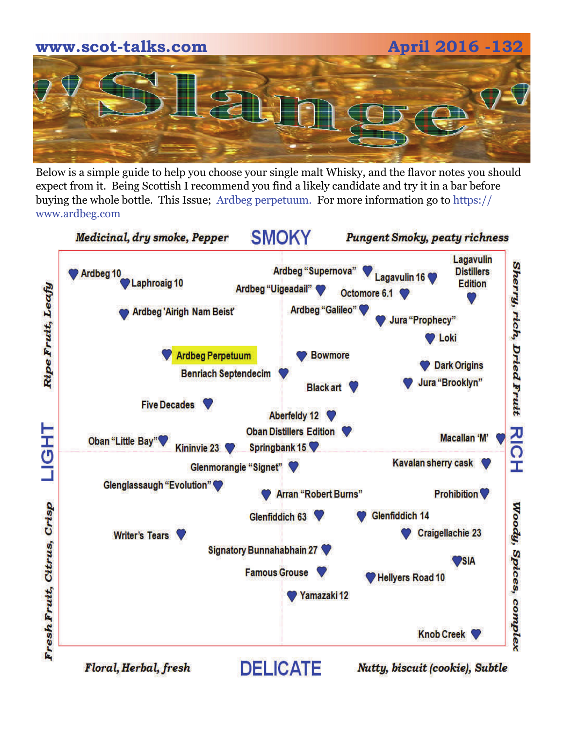

Below is a simple guide to help you choose your single malt Whisky, and the flavor notes you should expect from it. Being Scottish I recommend you find a likely candidate and try it in a bar before buying the whole bottle. This Issue; Ardbeg perpetuum. For more information go to https:// www.ardbeg.com

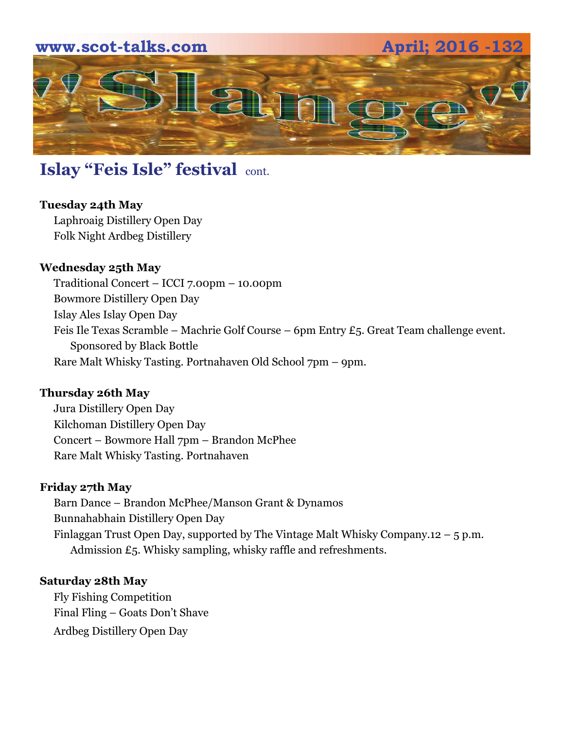

## **Islay "Feis Isle" festival cont.**

## **Tuesday 24th May**

Laphroaig Distillery Open Day Folk Night Ardbeg Distillery

## **Wednesday 25th May**

Traditional Concert – ICCI 7.00pm – 10.00pm Bowmore Distillery Open Day Islay Ales Islay Open Day Feis Ile Texas Scramble – Machrie Golf Course – 6pm Entry £5. Great Team challenge event. Sponsored by Black Bottle Rare Malt Whisky Tasting. Portnahaven Old School 7pm – 9pm.

#### **Thursday 26th May**

Jura Distillery Open Day Kilchoman Distillery Open Day Concert – Bowmore Hall 7pm – Brandon McPhee Rare Malt Whisky Tasting. Portnahaven

#### **Friday 27th May**

Barn Dance – Brandon McPhee/Manson Grant & Dynamos Bunnahabhain Distillery Open Day Finlaggan Trust Open Day, supported by The Vintage Malt Whisky Company.12 – 5 p.m. Admission £5. Whisky sampling, whisky raffle and refreshments.

#### **Saturday 28th May**

Fly Fishing Competition Final Fling – Goats Don't Shave Ardbeg Distillery Open Day